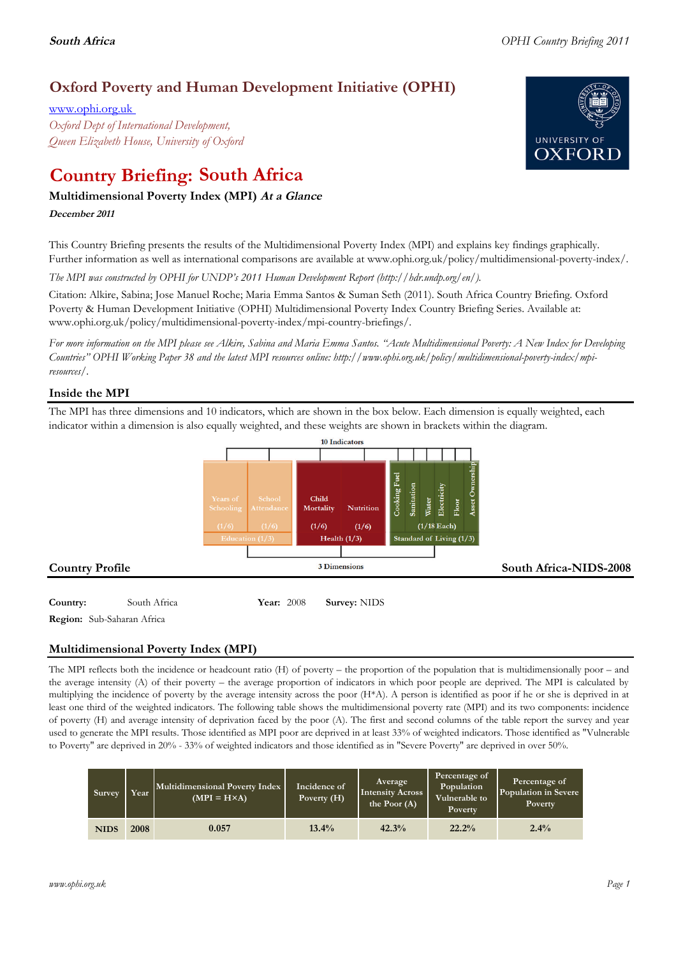# **Oxford Poverty and Human Development Initiative (OPHI)**

www.ophi.org.uk *Oxford Dept of International Development, Queen Elizabeth House, University of Oxford*

# **Country Briefing: South Africa**

### **Multidimensional Poverty Index (MPI) At <sup>a</sup> Glance**

**December <sup>2011</sup>**

This Country Briefing presents the results of the Multidimensional Poverty Index (MPI) and explains key findings graphically. Further information as well as international comparisons are available at www.ophi.org.uk/policy/multidimensional-poverty-index/.

*The MPI was constructed by OPHI for UNDP's 2011 Human Development Report (http://hdr.undp.org/en/).*

Citation: Alkire, Sabina; Jose Manuel Roche; Maria Emma Santos & Suman Seth (2011). South Africa Country Briefing. Oxford Poverty & Human Development Initiative (OPHI) Multidimensional Poverty Index Country Briefing Series. Available at: www.ophi.org.uk/policy/multidimensional-poverty-index/mpi-country-briefings/.

*For more information on the MPI please see Alkire, Sabina and Maria Emma Santos. "Acute Multidimensional Poverty: A New Index for Developing Countries" OPHI Working Paper 38 and the latest MPI resources online: http://www.ophi.org.uk/policy/multidimensional-poverty-index/mpiresources/.*

### **Inside the MPI**

The MPI has three dimensions and 10 indicators, which are shown in the box below. Each dimension is equally weighted, each indicator within a dimension is also equally weighted, and these weights are shown in brackets within the diagram.



# **Region:** Sub-Saharan Africa

### **Multidimensional Poverty Index (MPI)**

The MPI reflects both the incidence or headcount ratio (H) of poverty – the proportion of the population that is multidimensionally poor – and the average intensity (A) of their poverty – the average proportion of indicators in which poor people are deprived. The MPI is calculated by multiplying the incidence of poverty by the average intensity across the poor (H\*A). A person is identified as poor if he or she is deprived in at least one third of the weighted indicators. The following table shows the multidimensional poverty rate (MPI) and its two components: incidence of poverty (H) and average intensity of deprivation faced by the poor (A). The first and second columns of the table report the survey and year used to generate the MPI results. Those identified as MPI poor are deprived in at least 33% of weighted indicators. Those identified as "Vulnerable to Poverty" are deprived in 20% - 33% of weighted indicators and those identified as in "Severe Poverty" are deprived in over 50%.

| Survey      | Year | Multidimensional Poverty Index<br>$(MPI = H \times A)$ | Incidence of<br>Poverty (H) | Average<br><b>Intensity Across</b><br>the Poor $(A)$ | Percentage of<br>Population<br>Vulnerable to<br>Poverty | Percentage of<br>Population in Severe<br>Poverty |
|-------------|------|--------------------------------------------------------|-----------------------------|------------------------------------------------------|---------------------------------------------------------|--------------------------------------------------|
| <b>NIDS</b> | 2008 | 0.057                                                  | $13.4\%$                    | 42.3%                                                | 22.2%                                                   | 2.4%                                             |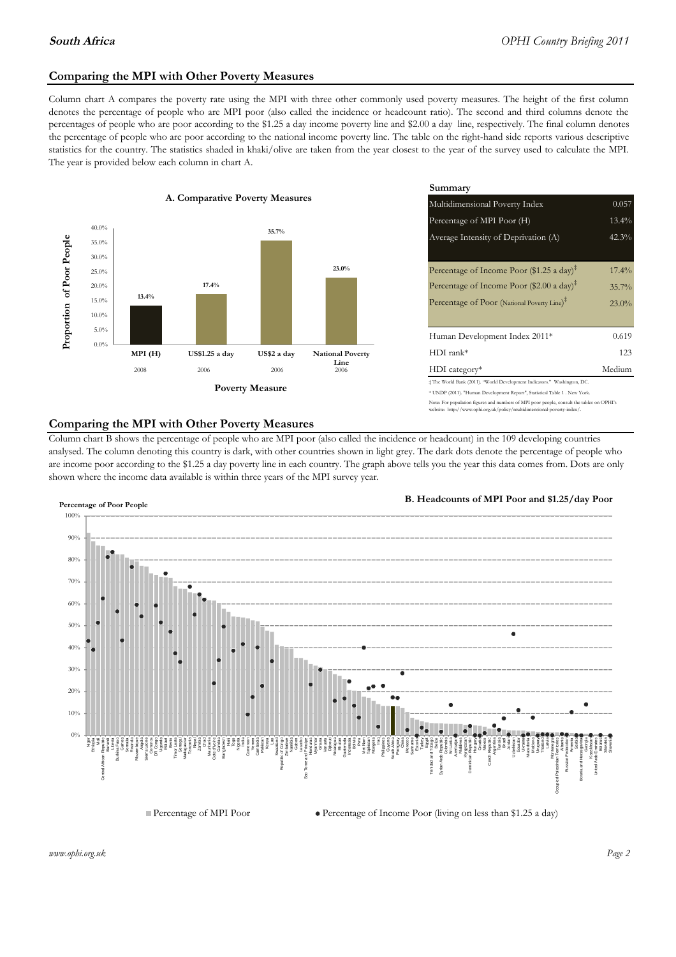### **Comparing the MPI with Other Poverty Measures**

Column chart A compares the poverty rate using the MPI with three other commonly used poverty measures. The height of the first column denotes the percentage of people who are MPI poor (also called the incidence or headcount ratio). The second and third columns denote the percentages of people who are poor according to the \$1.25 a day income poverty line and \$2.00 a day line, respectively. The final column denotes the percentage of people who are poor according to the national income poverty line. The table on the right-hand side reports various descriptive statistics for the country. The statistics shaded in khaki/olive are taken from the year closest to the year of the survey used to calculate the MPI. The year is provided below each column in chart A.



|                 |                         | Summary                                                                                                                                                    |          |  |  |
|-----------------|-------------------------|------------------------------------------------------------------------------------------------------------------------------------------------------------|----------|--|--|
| erty Measures   |                         | Multidimensional Poverty Index                                                                                                                             | 0.057    |  |  |
|                 |                         | Percentage of MPI Poor (H)                                                                                                                                 | 13.4%    |  |  |
| 35.7%           |                         | Average Intensity of Deprivation (A)                                                                                                                       | 42.3%    |  |  |
|                 | 23.0%                   | Percentage of Income Poor (\$1.25 a day) <sup><math>\ddagger</math></sup>                                                                                  | $17.4\%$ |  |  |
|                 |                         | Percentage of Income Poor (\$2.00 a day) <sup><math>\bar{x}</math></sup>                                                                                   | 35.7%    |  |  |
|                 |                         | Percentage of Poor (National Poverty Line) <sup>#</sup>                                                                                                    | 23.0%    |  |  |
|                 |                         | Human Development Index 2011*                                                                                                                              | 0.619    |  |  |
| US\$2 a day     | <b>National Poverty</b> | $HDI$ rank*                                                                                                                                                | 123      |  |  |
| 2006            | Line<br>2006            | $HDI category*$                                                                                                                                            | Medium   |  |  |
| <b>⁄Ieasure</b> |                         | $\pm$ The World Bank (2011). "World Development Indicators." Washington, DC.<br>* UNDP (2011). "Human Development Report", Statistical Table 1 . New York. |          |  |  |

te: For population figures and numbers of MPI poor people, consult the tables on OPHI's te: http://www.ophi.org.uk/policy/multidimensional-poverty-index/

### **Comparing the MPI with Other Poverty Measures**

Column chart B shows the percentage of people who are MPI poor (also called the incidence or headcount) in the 109 developing countries analysed. The column denoting this country is dark, with other countries shown in light grey. The dark dots denote the percentage of people who are income poor according to the \$1.25 a day poverty line in each country. The graph above tells you the year this data comes from. Dots are only shown where the income data available is within three years of the MPI survey year.



**B. Headcounts of MPI Poor and \$1.25/day Poor**

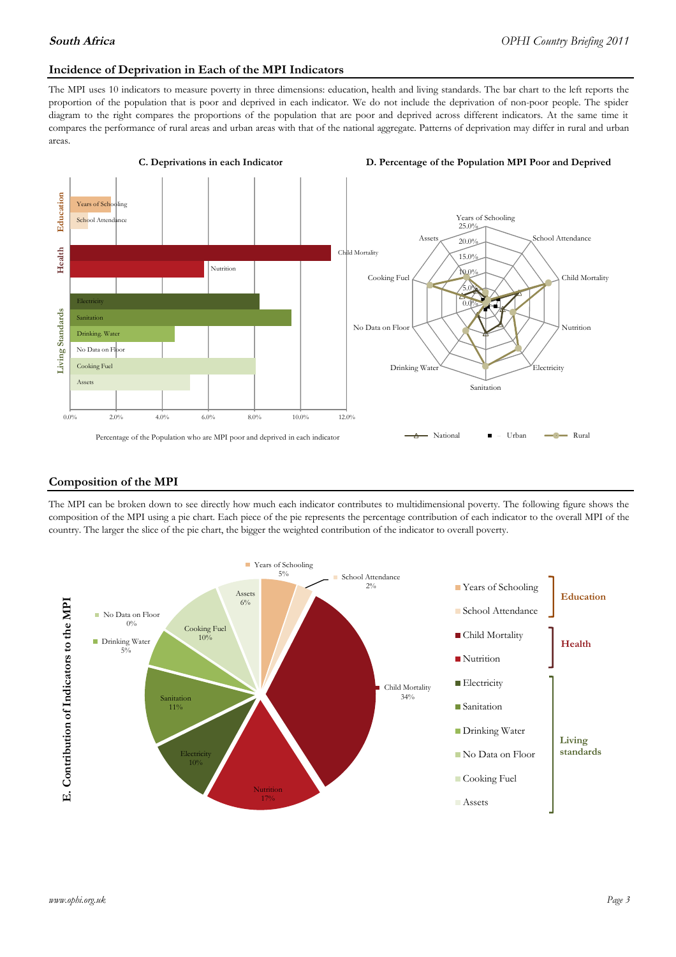### **Incidence of Deprivation in Each of the MPI Indicators**

The MPI uses 10 indicators to measure poverty in three dimensions: education, health and living standards. The bar chart to the left reports the proportion of the population that is poor and deprived in each indicator. We do not include the deprivation of non-poor people. The spider diagram to the right compares the proportions of the population that are poor and deprived across different indicators. At the same time it compares the performance of rural areas and urban areas with that of the national aggregate. Patterns of deprivation may differ in rural and urban areas.



### **Composition of the MPI**

The MPI can be broken down to see directly how much each indicator contributes to multidimensional poverty. The following figure shows the composition of the MPI using a pie chart. Each piece of the pie represents the percentage contribution of each indicator to the overall MPI of the country. The larger the slice of the pie chart, the bigger the weighted contribution of the indicator to overall poverty.